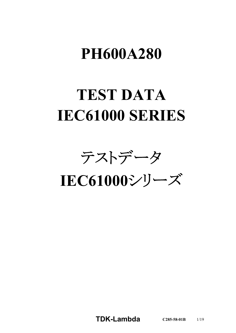# **PH600A280**

# **TEST DATA IEC61000 SERIES**

テストデータ

**IEC61000**シリーズ

**TDK-Lambda C285-58-01B** 1/19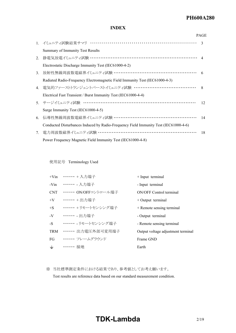#### *RWS 50B-600B Series* **PH600A280**

### **INDEX**

|    |                                                                                      | <b>PAGE</b>   |
|----|--------------------------------------------------------------------------------------|---------------|
|    | 1. イミュニティ試験結果サマリ ………………………………………………………                                               | $\mathcal{R}$ |
|    | Summary of Immunity Test Results                                                     |               |
|    | 2. 静電気放電イミュニティ試験 …………………………………………………………… 4                                           |               |
|    | Electrostatic Discharge Immunity Test (IEC61000-4-2)                                 |               |
| 3. | 放射性無線周波数電磁界イミュニティ試験 ………………………………………………                                               | -6            |
|    | Radiated Radio-Frequency Electromagnetic Field Immunity Test (IEC61000-4-3)          |               |
|    | 4. 電気的ファーストトランジェントバーストイミュニティ試験 …………………………………                                         | $\mathcal{R}$ |
|    | Electrical Fast Transient / Burst Immunity Test (IEC61000-4-4)                       |               |
|    | 5. サージイミュニティ試験 ……………………………………………………………                                               | 12            |
|    | Surge Immunity Test (IEC61000-4-5)                                                   |               |
| 6. | 伝導性無線周波数電磁界イミュニティ試験 ………………………………………………                                               | 14            |
|    | Conducted Disturbances Induced by Radio-Frequency Field Immunity Test (IEC61000-4-6) |               |
| 7. | 電力周波数磁界イミュニティ試験 ………………………………………………………                                                | 18            |
|    | Power Frequency Magnetic Field Immunity Test (IEC61000-4-8)                          |               |

使用記号 Terminology Used

| $+V$ in | $\cdots$ + 入力端子        | $+$ Input terminal                 |
|---------|------------------------|------------------------------------|
| -Vin    | ……… 入力端子               | - Input terminal                   |
| CNT     | ・・・・・・・ ON/OFFコントロール端子 | <b>ON/OFF Control terminal</b>     |
| $+V$    | ・・・・・・ + 出力端子          | $+$ Output terminal                |
| $+$ S   | ・・・・・・ + リモートセンシング端子   | + Remote sensing terminal          |
| -V      | ……… 出力端子               | - Output terminal                  |
| -S      | ・・・・・・ - リモートセンシング端子   | - Remote sensing terminal          |
| TRM     | ・・・・・・ 出力電圧外部可変用端子     | Output voltage adjustment terminal |
| FG      | ・・・・・・・ フレームグラウンド      | Frame GND                          |
| $\pm$   | ・・・・・・ 接地              | Earth                              |

※ 当社標準測定条件における結果であり、参考値としてお考え願います。

Test results are reference data based on our standard measurement condition.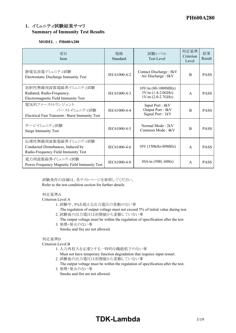## **1.** イミュニティ試験結果サマリ **Summary of Immunity Test Results**

### **MODEL : PH600A280**

| 項目<br>Item                                                                                       | 規格<br>Standard | 試験レベル<br><b>Test Level</b>                                         | 判定基準<br>Criterion<br>Level | 結果<br>Result |
|--------------------------------------------------------------------------------------------------|----------------|--------------------------------------------------------------------|----------------------------|--------------|
| 静電気放電イミュニティ試験<br>Electrostatic Discharge Immunity Test                                           | IEC61000-4-2   | Contact Discharge : 8kV<br>Air Discharge: 8kV                      | <sub>B</sub>               | <b>PASS</b>  |
| 放射性無線周波数電磁界イミュニティ試験<br>Radiated, Radio-Frequency,<br>Electromagnetic Field Immunity Test         | IEC61000-4-3   | $10V/m (80-1000MHz)$<br>$3V/m (1.4-2.0GHz)$<br>$1V/m (2.0-2.7GHz)$ | $\mathsf{A}$               | <b>PASS</b>  |
| 電気的ファーストトランジェント<br>バーストイミュニティ試験<br>Electrical Fast Transient / Burst Immunity Test               | IEC61000-4-4   | Input Port: 4kV<br>Output Port: 4kV<br>Signal Port: 1kV            | <sub>B</sub>               | <b>PASS</b>  |
| サージイミュニティ試験<br><b>Surge Immunity Test</b>                                                        | IEC61000-4-5   | Normal Mode: 2kV<br>Common Mode: 4kV                               | $\overline{B}$             | <b>PASS</b>  |
| 伝導性無線周波数電磁界イミュニティ試験<br>Conducted Disturbances, Induced by<br>Radio-Frequency Field Immunity Test | IEC61000-4-6   | 10V (150kHz-80MHz)                                                 | $\overline{A}$             | <b>PASS</b>  |
| 電力周波数磁界イミュニティ試験<br>Power Frequency Magnetic Field Immunity Test                                  | IEC61000-4-8   | 30A/m (50H, 60Hz)                                                  | A                          | <b>PASS</b>  |

試験条件の詳細は、各テストページを参照してください。 Refer to the test condition section for further details.

### 判定基準A

Criterion Level A

- 1. 試験中、5%を超える出力電圧の変動のない事
- The regulation of output voltage must not exceed 5% of initial value during test.
- 2. 試験後の出力電圧は初期値から変動していない事
	- The output voltage must be within the regulation of specification after the test.
- 3. 発煙・発火のない事 Smoke and fire are not allowed.

### 判定基準B

### Criterion Level B

- 1. 入力再投入を必要とする一時的な機能低下のない事
	- Must not have temporary function degradation that requires input restart.
- 2. 試験後の出力電圧は初期値から変動していない事
	- The output voltage must be within the regulation of specification after the test.
- 3. 発煙・発火のない事 Smoke and fire are not allowed.

# **TDK-Lambda** 3/19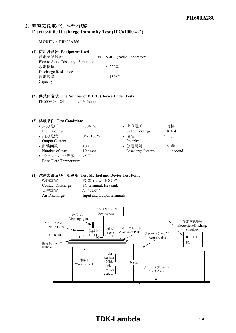## **2.** 静電気放電イミュニティ試験

### **Electrostatic Discharge Immunity Test (IEC61000-4-2)**

#### **MODEL : PH600A280**

### **(1)** 使用計測器 **Equipment Used**

静電気試験器 ESS-S3011 (Noise Laboratory) Electro Static Discharge Simulator  *放電抵抗* $$\qquad \qquad$  : 330Ω$ Discharge Resistance 静電容量 : 150pF Capacity

**(2)** 供試体台数 **The Number of D.U.T. (Device Under Test)** PH600A280-24 : 1台 (unit)

#### **(3)** 試験条件 **Test Conditions**

- 入力電圧  $: 280VDC$ Input Voltage
- 出力電流 : 0%、100% **Output Current** • 試験回数 : 10回
- Number of tests 10 times
- ベースプレート温度 : 25℃ Base-Plate Temperature

| • 出力電圧                 | : 定格<br>Rated |
|------------------------|---------------|
| Output Voltage<br>• 極性 | $: +,-$       |
| Polarity               |               |
| • 放電間隔                 | :>1秒          |
| Discharge Interval     | $>1$ second   |

### **(4)** 試験方法及び印加箇所 **Test Method and Device Test Point**

| : FG端子、ヒートシンク              |
|----------------------------|
| FG terminal, Heatsink      |
| : 入出力端子                    |
| Input and Output terminals |
|                            |

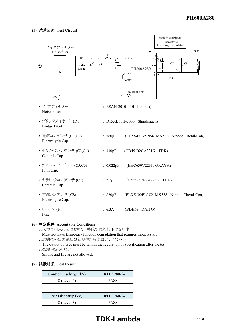

### **(6)** 判定条件 **Acceptable Conditions**

- 1.入力再投入を必要とする一時的な機能低下のない事 Must not have temporary function degradation that requires input restart. 2.試験後の出力電圧は初期値から変動していない事 The output voltage must be within the regulation of specification after the test. 3.発煙・発火のない事
- Smoke and fire are not allowed.

#### **(7)** 試験結果 **Test Result**

| Contact Discharge (kV) | PH600A280-24 |
|------------------------|--------------|
| 8 (Level 4)            | <b>PASS</b>  |

| Air Discharge (kV) | PH600A280-24 |
|--------------------|--------------|
| 8 (Level 3)        | <b>PASS</b>  |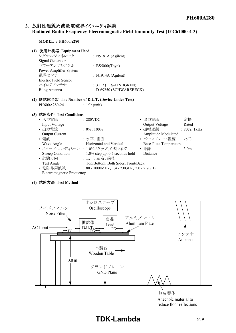### **3.** 放射性無線周波数電磁界イミュニティ試験 **Radiated Radio-Frequency Electromagnetic Field Immunity Test (IEC61000-4-3)**

### **MODEL : PH600A280**

### **(1)** 使用計測器 **Equipment Used**

| シグナルジェネレータ             | : $N5181A (Agilent)$    |
|------------------------|-------------------------|
| Signal Generator       |                         |
| パワーアンプシステム             | : BS5000(Toyo)          |
| Power Amplifier System |                         |
| 電界センサ                  | : $N1914A$ (Agilent)    |
| Electric Field Sensor  |                         |
| バイログアンテナ               | $: 3117$ (ETS-LINDGREN) |
| Bilog Antenna          | D-69250 (SCHWARZBECK)   |
|                        |                         |

### **(2)** 供試体台数 **The Number of D.U.T. (Device Under Test)** PH600A280-24 : 1台 (unit)

### **(3)** 試験条件 **Test Conditions**

| • 入力電圧                    | : 280VDC                                            | • 出力電圧                        | : 定格            |
|---------------------------|-----------------------------------------------------|-------------------------------|-----------------|
| Input Voltage             |                                                     | Output Voltage                | Rated           |
| • 出力電流                    | $: 0\%$ , 100%                                      | • 振幅変調                        | : $80\%$ , 1kHz |
| <b>Output Current</b>     |                                                     | Amplitude Modulated           |                 |
| • 偏波                      | : 水平、垂直                                             | • ベースプレート温度 : 25℃             |                 |
| Wave Angle                | Horizontal and Vertical                             | <b>Base-Plate Temperature</b> |                 |
|                           | • スイープ·コンディション: 1.0%ステップ、0.5秒保持                     | • 距離                          | : 3.0m          |
| Sweep Condition           | $1.0\%$ step up, 0.5 seconds hold                   | Distance                      |                 |
| • 試験方向                    | : 上下、左右、前後                                          |                               |                 |
| Test Angle                | Top/Bottom, Both Sides, Front/Back                  |                               |                 |
| • 電磁界周波数                  | : $80 - 1000$ MHz, $1.4 - 2.0$ GHz, $2.0 - 2.7$ GHz |                               |                 |
| Electromagnetic Frequency |                                                     |                               |                 |

### **(4)** 試験方法 **Test Method**



reduce floor reflections

# **TDK-Lambda** 6/19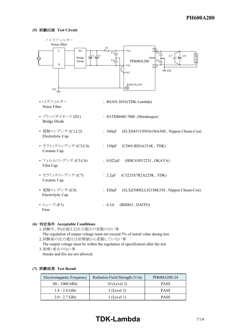

### **(6)** 判定条件 **Acceptable Conditions**

- 1.試験中、5%を超える出力電圧の変動のない事 The regulation of output voltage must not exceed 5% of initial value during test. 2.試験後の出力電圧は初期値から変動していない事
- The output voltage must be within the regulation of specification after the test. 3.発煙・発火のない事
- Smoke and fire are not allowed.

### **(7)** 試験結果 **Test Result**

| Electromagnetic Frequency | Radiation Field Strength (V/m) | PH600A280-24 |
|---------------------------|--------------------------------|--------------|
| $80 - 1000$ MHz           | $10$ (Level 3)                 | <b>PASS</b>  |
| $1.4 - 2.0$ GHz           | $3$ (Level 2)                  | <b>PASS</b>  |
| $2.0 - 2.7$ GHz           | $1$ (Level 1)                  | <b>PASS</b>  |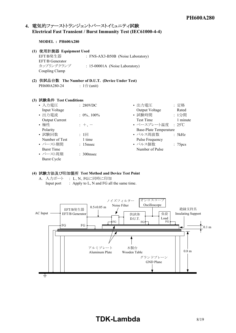## **4.** 電気的ファーストトランジェントバーストイミュニティ試験 **Electrical Fast Transient / Burst Immunity Test (IEC61000-4-4)**

#### **MODEL : PH600A280**

#### **(1)** 使用計測器 **Equipment Used**

| EFT/B発生器        | : FNS-AX3-B50B (Noise Laboratory) |
|-----------------|-----------------------------------|
| EFT/B Generator |                                   |
| カップリングクランプ      | $: 15-00001A$ (Noise Laboratory)  |
| Coupling Clamp  |                                   |

**(2)** 供試品台数 **The Number of D.U.T. (Device Under Test)** PH600A280-24 : 1台 (unit)

#### **(3)** 試験条件 **Test Conditions**

| • 入力電圧                | : 280VDC       | • 出力電圧                 | : 定格                |
|-----------------------|----------------|------------------------|---------------------|
| Input Voltage         |                | Output Voltage         | Rated               |
| • 出力電流                | $: 0\%$ , 100% | • 試験時間                 | : 1分間               |
| <b>Output Current</b> |                | <b>Test Time</b>       | 1 minute            |
| • 極性                  | $+$ , $-$      | • ベースプレート温度 : 25℃      |                     |
| Polarity              |                | Base-Plate Temperature |                     |
| • 試験回数                | $: 1 \square$  | • パルス周波数               | : 5kHz              |
| Number of Test        | 1 time         | Pulse Frequency        |                     |
| • バースト期間              | $: 15$ msec    | • パルス個数                | : 75 <sub>pcs</sub> |
| <b>Burst Time</b>     |                | Number of Pulse        |                     |
| • バースト周期              | $: 300$ msec   |                        |                     |
| Burst Cycle           |                |                        |                     |

### **(4)** 試験方法及び印加箇所 **Test Method and Device Test Point**

A. 入力ポート : L、N、FGに同時に印加 Input port : Apply to L, N and FG all the same time.



# **TDK-Lambda** 8/19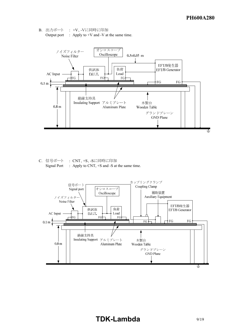B. 出力ポート : +V、-Vに同時に印加 Output port  $\therefore$  Apply to +V and -V at the same time.



C. 信号ポート : CNT、+S、-Sに同時に印加 Signal Port : Apply to CNT, +S and -S at the same time.



# **TDK-Lambda** 9/19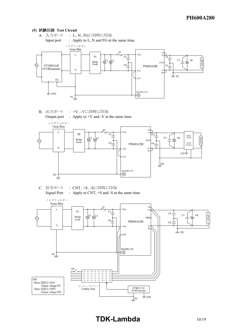

B. 出力ポート : +V、-Vに同時に印加 Output port  $\therefore$  Apply to +V and -V at the same time.



C. 信号ポート : CNT、+S、-Sに同時に印加 Signal Port : Apply to CNT,  $+$ S and -S at the same time.

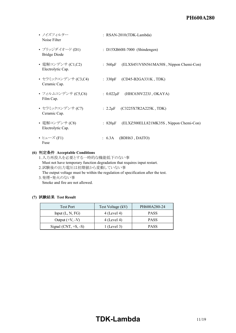| • ノイズフィルター<br>Noise Filter              | : RSAN-2010(TDK-Lambda)                                 |
|-----------------------------------------|---------------------------------------------------------|
| • ブリッジダイオード (D1)<br><b>Bridge Diode</b> | : D15XB60H-7000 (Shindengen)                            |
| • 電解コンデンサ (C1,C2)<br>Electrolytic Cap.  | : $560\mu$ F (ELXS451VSN561MA50S, Nippon Chemi-Con)     |
| • セラミックコンデンサ (C3,C4)<br>Ceramic Cap.    | : $330pF$ (CD45-B2GA331K, TDK)                          |
| • フィルムコンデンサ (C5,C6)<br>Film Cap.        | : $0.022 \mu$ F (HHC630V223J, OKAYA)                    |
| • セラミックコンデンサ (C7)<br>Ceramic Cap.       | : $2.2 \mu F$ (C3225X7R2A225K, TDK)                     |
| • 電解コンデンサ (C8)<br>Electrolytic Cap.     | : $820 \mu F$<br>(ELXZ500ELL821MK35S, Nippon Chemi-Con) |
| • ヒューズ (F1)<br>Fuse                     | $: 6.3A$ (BDH63, DAITO)                                 |

### **(6)** 判定条件 **Acceptable Conditions**

1.入力再投入を必要とする一時的な機能低下のない事 Must not have temporary function degradation that requires input restart.

2.試験後の出力電圧は初期値から変動していない事

The output voltage must be within the regulation of specification after the test.

3.発煙・発火のない事

Smoke and fire are not allowed.

### **(7)** 試験結果 **Test Result**

| <b>Test Port</b>           | Test Voltage (kV) | PH600A280-24 |  |  |  |
|----------------------------|-------------------|--------------|--|--|--|
| Input $(L, N, FG)$         | $4$ (Level 4)     | <b>PASS</b>  |  |  |  |
| Output $(+V, -V)$          | $4$ (Level 4)     | <b>PASS</b>  |  |  |  |
| Signal (CNT, $+S$ , $-S$ ) | $1$ (Level 3)     | <b>PASS</b>  |  |  |  |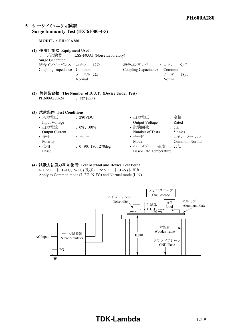### **5.** サージイミュニティ試験 **Surge Immunity Test (IEC61000-4-5)**

### **MODEL : PH600A280**

### **(1)** 使用計測器 **Equipment Used**

サージ試験器 : LSS-F03A1 (Noise Laboratory) Surge Generator 結合インピーダンス : コモン 12Ω 結合<br>Counling Imnedance Common 9 C Coupling Impedance Common  $/$  $\neg$ マル 2 $\Omega$ Normal

| ョ合コンデンサ                    | ・コモン      | $9\mu F$ |  |
|----------------------------|-----------|----------|--|
| oupling Capacitance Common |           |          |  |
|                            | ノーマル 18uF |          |  |
|                            | Normal    |          |  |

#### **(2)** 供試品台数 **The Number of D.U.T. (Device Under Test)** PH600A280-24 :  $1 \oplus$  (unit)

### **(3)** 試験条件 **Test Conditions**

| $\mu$ reserves to $\mu$ is the content only |                         |                               |                |
|---------------------------------------------|-------------------------|-------------------------------|----------------|
| • 入力電圧                                      | : 280VDC                | • 出力電圧                        | : 定格           |
| Input Voltage                               |                         | Output Voltage                | Rated          |
| • 出力電流                                      | $: 0\%$ , 100%          | • 試験回数                        | $: 5 \square$  |
| <b>Output Current</b>                       |                         | Number of Tests               | 5 times        |
| • 極性                                        | $\pm$ + $\pm$           | • モード                         | : コモン、ノーマル     |
| Polarity                                    |                         | Mode                          | Common, Normal |
| • 位相                                        | $: 0, 90, 180, 270$ deg | • ベースプレート温度 : 25℃             |                |
| Phase                                       |                         | <b>Base-Plate Temperature</b> |                |

### **(4)** 試験方法及び印加箇所 **Test Method and Device Test Point**

コモンモード (L-FG、N-FG) 及びノーマルモード (L-N) に印加 Apply to Common mode (L-FG, N-FG) and Normal mode (L-N).

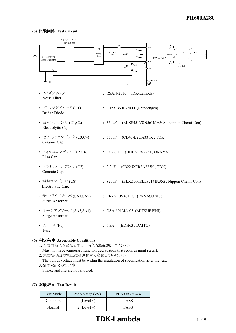

### **(6)** 判定条件 **Acceptable Conditions**

1.入力再投入を必要とする一時的な機能低下のない事 Must not have temporary function degradation that requires input restart. 2.試験後の出力電圧は初期値から変動していない事 The output voltage must be within the regulation of specification after the test. 3.発煙・発火のない事

Smoke and fire are not allowed.

### **(7)** 試験結果 **Test Result**

| <b>Test Mode</b> | Test Voltage (kV) | PH600A280-24 |
|------------------|-------------------|--------------|
| Common           | $4$ (Level 4)     | <b>PASS</b>  |
| Normal           | $2$ (Level 4)     | <b>PASS</b>  |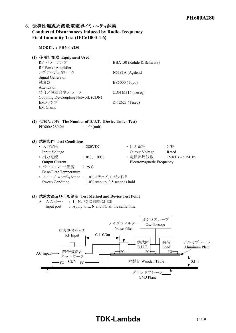### **6.** 伝導性無線周波数電磁界イミュニティ試験 **Conducted Disturbances Induced by Radio-Frequency Field Immunity Test (IEC61000-4-6)**

**MODEL : PH600A280**

### **(1)** 使用計測器 **Equipment Used**

| RF パワーアンプ                          | : BBA150 (Rohde & Schwarz) |
|------------------------------------|----------------------------|
| RF Power Amplifier                 |                            |
| シグナルジェネレータ                         | : N5181A (Agilent)         |
| Signal Generator                   |                            |
| 減衰器                                | : BS5000 (Toyo)            |
| Attenuator                         |                            |
| 結合/減結合ネットワーク                       | $:$ CDN M316 (Teseq)       |
| Coupling De-Coupling Network (CDN) |                            |
| EMクランプ                             | $: D-12623$ (Teseq)        |
| <b>EM</b> Clamp                    |                            |

### **(2)** 供試品台数 **The Number of D.U.T. (Device Under Test)** PH600A280-24 : 1台 (unit)

### **(3)** 試験条件 **Test Conditions** • 入力電圧 : 280VDC • 出力電圧 : 定格 Input Voltage Rated • 出力電流 : 0%、 100% • 電磁界周波数 : 150kHz - 80MHz Output Current Electromagnetic Frequency • ベースプレート温度<br>
+ 25℃ Base-Plate Temperature • スイープ·コンディション : 1.0%ステップ、0.5秒保持 Sweep Condition 1.0% step up, 0.5 seconds hold

### **(3)** 試験方法及び印加箇所 **Test Method and Device Test Point**

A. 入力ポート : L、N、FGに同時に印加 Input port : Apply to L, N and FG all the same time.



# **TDK-Lambda** 14/19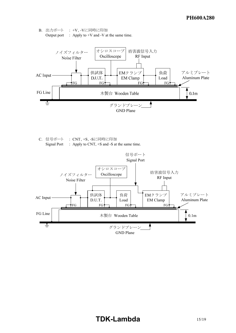



C. 信号ポート : CNT、+S、-Sに同時に印加 Signal Port : Apply to CNT,  $+$ S and -S at the same time.

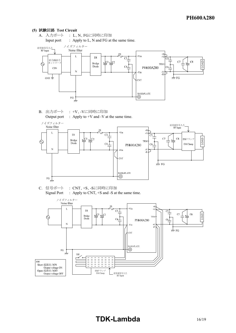

B. 出力ポート : +V、-Vに同時に印加 Output port : Apply to  $+V$  and  $-V$  at the same time.



C. 信号ポート : CNT、+S、-Sに同時に印加 Signal Port : Apply to CNT, +S and -S at the same time.

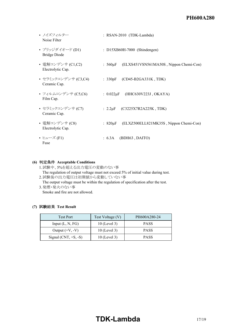# *RWS 50B-600B Series* **PH600A280**

| • ノイズフィルター<br>Noise Filter              | : RSAN-2010 (TDK-Lambda)                                |
|-----------------------------------------|---------------------------------------------------------|
| • ブリッジダイオード (D1)<br><b>Bridge Diode</b> | : D15XB60H-7000 (Shindengen)                            |
| • 電解コンデンサ (C1,C2)<br>Electrolytic Cap.  | : $560 \mu$ F (ELXS451VSN561MA50S, Nippon Chemi-Con)    |
| • セラミックコンデンサ (C3,C4)<br>Ceramic Cap.    | : $330pF$ (CD45-B2GA331K, TDK)                          |
| • フィルムコンデンサ (C5,C6)<br>Film Cap.        | : $0.022\mu F$<br>(HHC630V223J, OKAYA)                  |
| • セラミックコンデンサ (C7)<br>Ceramic Cap.       | : $2.2 \mu$ F (C3225X7R2A225K, TDK)                     |
| • 電解コンデンサ (C8)<br>Electrolytic Cap.     | : $820 \mu F$<br>(ELXZ500ELL821MK35S, Nippon Chemi-Con) |
| • ヒューズ (F1)<br>Fuse                     | $: 6.3A$ (BDH63, DAITO)                                 |

### **(6)** 判定条件 **Acceptable Conditions**

1.試験中、5%を超える出力電圧の変動のない事 The regulation of output voltage must not exceed 5% of initial value during test. 2.試験後の出力電圧は初期値から変動していない事

The output voltage must be within the regulation of specification after the test. 3.発煙・発火のない事

Smoke and fire are not allowed.

### **(7)** 試験結果 **Test Result**

| <b>Test Port</b>           | Test Voltage (V) | PH600A280-24 |
|----------------------------|------------------|--------------|
| Input $(L, N, FG)$         | $10$ (Level 3)   | <b>PASS</b>  |
| Output $(+V, -V)$          | $10$ (Level 3)   | <b>PASS</b>  |
| Signal (CNT, $+S$ , $-S$ ) | $10$ (Level 3)   | <b>PASS</b>  |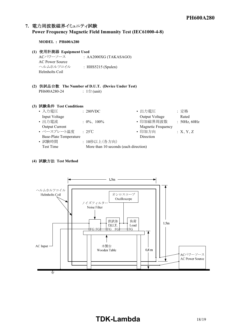# **7.** 電力周波数磁界イミュニティ試験

### **Power Frequency Magnetic Field Immunity Test (IEC61000-4-8)**

**MODEL : PH600A280**

### **(1)** 使用計測器 **Equipment Used**

ACパワーソース : AA2000XG (TAKASAGO) AC Power Source ヘルムホルツコイル : HHS5215 (Spulen) Helmholts Coil

**(2)** 供試品台数 **The Number of D.U.T. (Device Under Test)** PH600A280-24 : 1台 (unit)

### **(3)** 試験条件 **Test Conditions**

| • 入力電圧                        | : 280VDC                              | • 出力電圧             | :定格          |
|-------------------------------|---------------------------------------|--------------------|--------------|
| Input Voltage                 |                                       | Output Voltage     | Rated        |
| • 出力電流                        | $: 0\%$ , 100%                        | • 印加磁界周波数          | : 50Hz, 60Hz |
| Output Current                |                                       | Magnetic Frequency |              |
| • ベースプレート温度                   | $: 25^{\circ}$ C                      | • 印加方向             | :X, Y, Z     |
| <b>Base-Plate Temperature</b> |                                       | Direction          |              |
| • 試験時間                        | : 10秒以上(各方向)                          |                    |              |
| Test Time                     | More than 10 seconds (each direction) |                    |              |

### **(4)** 試験方法 **Test Method**